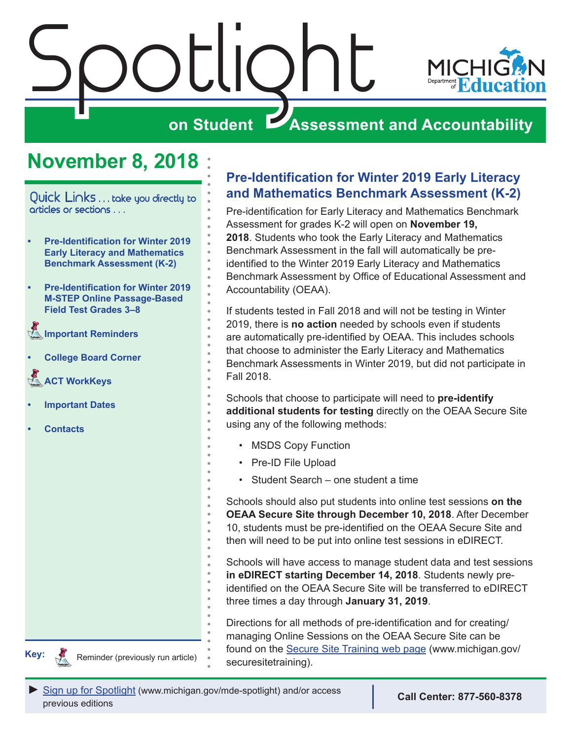<span id="page-0-0"></span>

# **November 8, 2018**

Quick Links . . . take you directly to articles or sections . . .

- **• Pre-Identification for Winter 2019 Early Literacy and Mathematics Benchmark Assessment (K-2)**
- **• [Pre-Identification for Winter 2019](#page-1-0)  [M-STEP Online Passage-Based](#page-1-0)  [Field Test Grades 3–8](#page-1-0)**
- **[Important Reminders](#page-1-0)**
- **• [College Board Corner](#page-2-0)**
- **ACT WorkKeys**
- **• [Important Dates](#page-6-0)**
- **• [Contacts](#page-8-0)**



### **Pre-Identification for Winter 2019 Early Literacy and Mathematics Benchmark Assessment (K-2)**

Pre-identification for Early Literacy and Mathematics Benchmark Assessment for grades K-2 will open on **November 19, 2018**. Students who took the Early Literacy and Mathematics Benchmark Assessment in the fall will automatically be preidentified to the Winter 2019 Early Literacy and Mathematics Benchmark Assessment by Office of Educational Assessment and Accountability (OEAA).

If students tested in Fall 2018 and will not be testing in Winter 2019, there is **no action** needed by schools even if students are automatically pre-identified by OEAA. This includes schools that choose to administer the Early Literacy and Mathematics Benchmark Assessments in Winter 2019, but did not participate in Fall 2018.

Schools that choose to participate will need to **pre-identify additional students for testing** directly on the OEAA Secure Site using any of the following methods:

- MSDS Copy Function
- Pre-ID File Upload
- Student Search one student a time

Schools should also put students into online test sessions **on the OEAA Secure Site through December 10, 2018**. After December 10, students must be pre-identified on the OEAA Secure Site and then will need to be put into online test sessions in eDIRECT.

Schools will have access to manage student data and test sessions **in eDIRECT starting December 14, 2018**. Students newly preidentified on the OEAA Secure Site will be transferred to eDIRECT three times a day through **January 31, 2019**.

Directions for all methods of pre-identification and for creating/ managing Online Sessions on the OEAA Secure Site can be found on the [Secure Site Training web page](http://www.michigan.gov/securesitetraining) (www.michigan.gov/ **Key:** Reminder (previously run article) securesitetraining).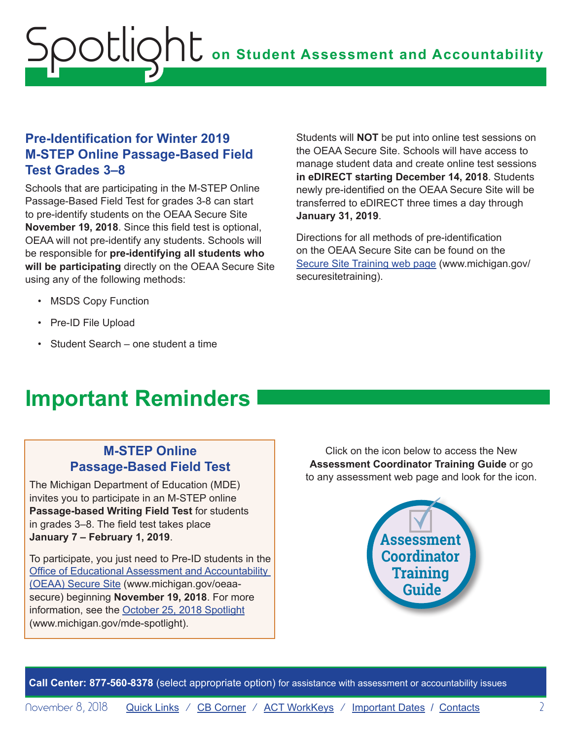### <span id="page-1-0"></span>**Pre-Identification for Winter 2019 M-STEP Online Passage-Based Field Test Grades 3–8**

Schools that are participating in the M-STEP Online Passage-Based Field Test for grades 3-8 can start to pre-identify students on the OEAA Secure Site **November 19, 2018**. Since this field test is optional, OEAA will not pre-identify any students. Schools will be responsible for **pre-identifying all students who will be participating** directly on the OEAA Secure Site using any of the following methods:

Students will **NOT** be put into online test sessions on the OEAA Secure Site. Schools will have access to manage student data and create online test sessions **in eDIRECT starting December 14, 2018**. Students newly pre-identified on the OEAA Secure Site will be transferred to eDIRECT three times a day through **January 31, 2019**.

Directions for all methods of pre-identification on the OEAA Secure Site can be found on the [Secure Site Training web page](http://www.michigan.gov/securesitetraining) (www.michigan.gov/ securesitetraining).

- MSDS Copy Function
- Pre-ID File Upload
- Student Search one student a time

# **Important Reminders**

### **M-STEP Online Passage-Based Field Test**

The Michigan Department of Education (MDE) invites you to participate in an M-STEP online **Passage-based Writing Field Test** for students in grades 3–8. The field test takes place **January 7 – February 1, 2019**.

To participate, you just need to Pre-ID students in the [Office of Educational Assessment and Accountability](http://www.michigan.gov/oeaa-secure)  [\(OEAA\) Secure Site](http://www.michigan.gov/oeaa-secure) (www.michigan.gov/oeaasecure) beginning **November 19, 2018**. For more information, see the [October 25, 2018 Spotlight](https://www.michigan.gov/documents/mde/10.25.2018_Spotlight_636974_7.pdf) (www.michigan.gov/mde-spotlight).

Click on the icon below to access the New **Assessment Coordinator Training Guide** or go to any assessment web page and look for the icon.

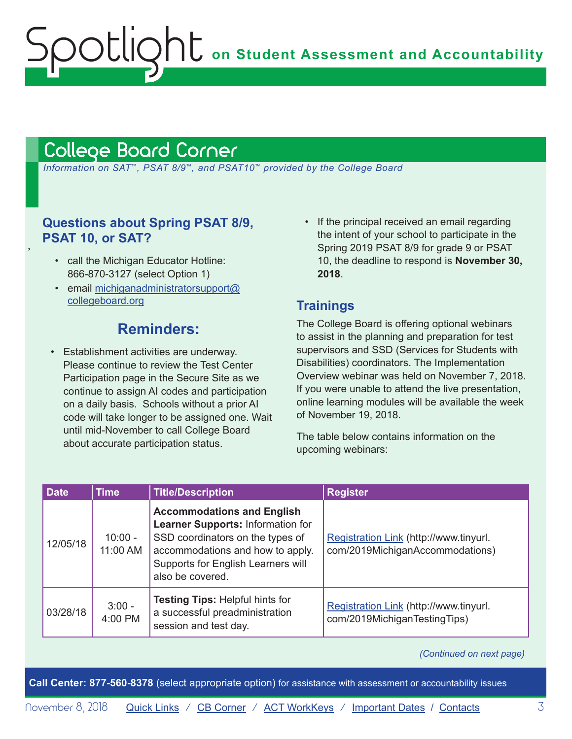# <span id="page-2-1"></span>College Board Corner

<span id="page-2-0"></span>Spotlight

 *Information on SAT*™*, PSAT 8/9*™*, and PSAT10*™ *provided by the College Board*

### **Questions about Spring PSAT 8/9, PSAT 10, or SAT?**

• call the Michigan Educator Hotline: 866-870-3127 (select Option 1)

,

• email [michiganadministratorsupport@](mailto:michiganadministratorsupport%40collegeboard.org?subject=) [collegeboard.org](mailto:michiganadministratorsupport%40collegeboard.org?subject=)

# **Reminders:**

- Establishment activities are underway. Please continue to review the Test Center Participation page in the Secure Site as we continue to assign AI codes and participation on a daily basis. Schools without a prior AI code will take longer to be assigned one. Wait until mid-November to call College Board about accurate participation status.
- If the principal received an email regarding the intent of your school to participate in the Spring 2019 PSAT 8/9 for grade 9 or PSAT 10, the deadline to respond is **November 30, 2018**.

### **Trainings**

The College Board is offering optional webinars to assist in the planning and preparation for test supervisors and SSD (Services for Students with Disabilities) coordinators. The Implementation Overview webinar was held on November 7, 2018. If you were unable to attend the live presentation, online learning modules will be available the week of November 19, 2018.

The table below contains information on the upcoming webinars:

| <b>Date</b> | <b>Time</b>           | <b>Title/Description</b>                                                                                                                                                                                 | <b>Register</b>                                                           |
|-------------|-----------------------|----------------------------------------------------------------------------------------------------------------------------------------------------------------------------------------------------------|---------------------------------------------------------------------------|
| 12/05/18    | $10:00 -$<br>11:00 AM | <b>Accommodations and English</b><br>Learner Supports: Information for<br>SSD coordinators on the types of<br>accommodations and how to apply.<br>Supports for English Learners will<br>also be covered. | Registration Link (http://www.tinyurl.<br>com/2019MichiganAccommodations) |
| 03/28/18    | $3:00 -$<br>4:00 PM   | <b>Testing Tips: Helpful hints for</b><br>a successful preadministration<br>session and test day.                                                                                                        | Registration Link (http://www.tinyurl.<br>com/2019MichiganTestingTips)    |

#### *(Continued on next page)*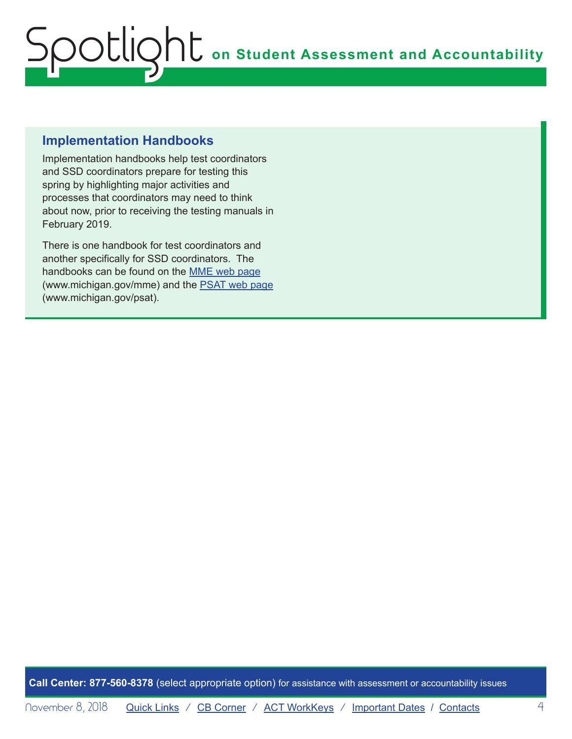# **Implementation Handbooks**

Implementation handbooks help test coordinators and SSD coordinators prepare for testing this spring by highlighting major activities and processes that coordinators may need to think about now, prior to receiving the testing manuals in February 2019.

There is one handbook for test coordinators and another specifically for SSD coordinators. The handbooks can be found on the [MME web page](www.michigan.gov/mme) (www.michigan.gov/mme) and the [PSAT web page](http://www.michigan.gov/psat) (www.michigan.gov/psat).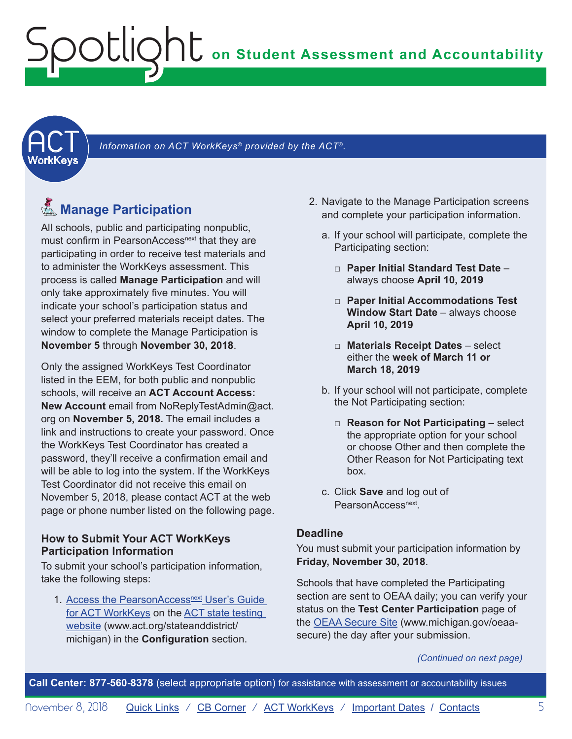<span id="page-4-1"></span><span id="page-4-0"></span>

Information on ACT WorkKeys<sup>®</sup> provided by the ACT<sup>®</sup>.

# **K**<sub>Manage</sub> Participation

All schools, public and participating nonpublic, must confirm in PearsonAccess<sup>next</sup> that they are participating in order to receive test materials and to administer the WorkKeys assessment. This process is called **Manage Participation** and will only take approximately five minutes. You will indicate your school's participation status and select your preferred materials receipt dates. The window to complete the Manage Participation is **November 5** through **November 30, 2018**.

Only the assigned WorkKeys Test Coordinator listed in the EEM, for both public and nonpublic schools, will receive an **ACT Account Access: New Account** email from NoReplyTestAdmin@act. org on **November 5, 2018.** The email includes a link and instructions to create your password. Once the WorkKeys Test Coordinator has created a password, they'll receive a confirmation email and will be able to log into the system. If the WorkKeys Test Coordinator did not receive this email on November 5, 2018, please contact ACT at the web page or phone number listed on the following page.

#### **How to Submit Your ACT WorkKeys Participation Information**

To submit your school's participation information, take the following steps:

1. Access the PearsonAccessnext User's Guide [for ACT WorkKeys](http://www.act.org/content/dam/act/unsecured/documents/PANUserGuide-ACTWorkKeys.pdf) on the [ACT state testing](http://www.act.org/stateanddistrict/michigan)  [website](http://www.act.org/stateanddistrict/michigan) (www.act.org/stateanddistrict/ michigan) in the **Configuration** section.

- 2. Navigate to the Manage Participation screens and complete your participation information.
	- a. If your school will participate, complete the Participating section:
		- □ **Paper Initial Standard Test Date** always choose **April 10, 2019**
		- □ **Paper Initial Accommodations Test Window Start Date** – always choose **April 10, 2019**
		- □ **Materials Receipt Dates** select either the **week of March 11 or March 18, 2019**
	- b. If your school will not participate, complete the Not Participating section:
		- □ **Reason for Not Participating** select the appropriate option for your school or choose Other and then complete the Other Reason for Not Participating text box.
	- c. Click **Save** and log out of PearsonAccess<sup>next</sup>.

#### **Deadline**

You must submit your participation information by **Friday, November 30, 2018**.

Schools that have completed the Participating section are sent to OEAA daily; you can verify your status on the **Test Center Participation** page of the [OEAA Secure Site](http://www.michigan.gov/oeaa-secure) (www.michigan.gov/oeaasecure) the day after your submission.

#### *(Continued on next page)*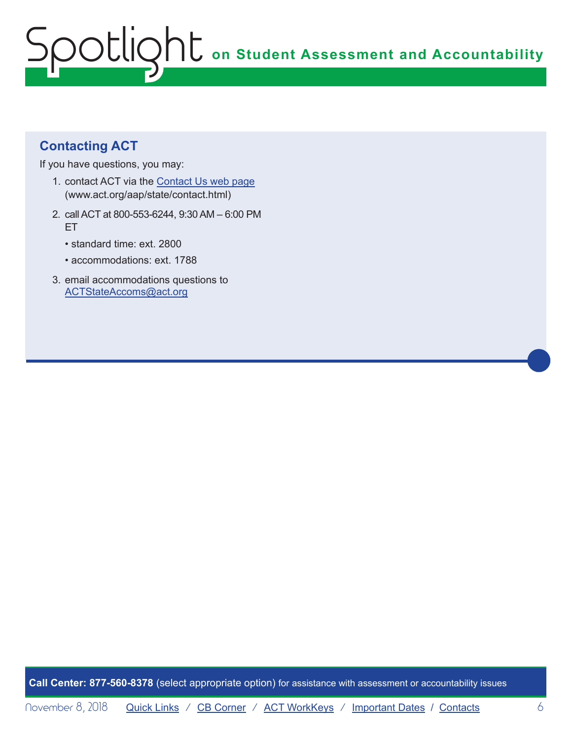# **Contacting ACT**

If you have questions, you may:

- 1. contact ACT via the [Contact Us web page](http://www.act.org/aap/state/contact.html) [\(www.act.org/aap/state/contact.html\)](www.act.org/aap/state/contact.html)
- 2. call ACT at 800-553-6244, 9:30 AM 6:00 PM ET
	- standard time: ext. 2800
	- accommodations: ext. 1788
- 3. email accommodations questions to [ACTStateAccoms@act.org](mailto:ACTStateAccoms%40act.org?subject=)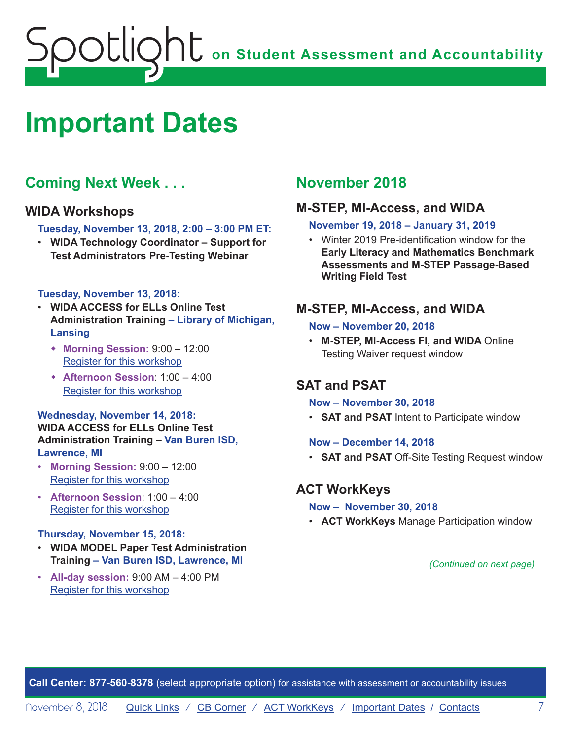# <span id="page-6-1"></span><span id="page-6-0"></span>**Important Dates**

# **Coming Next Week . . .**

#### **WIDA Workshops**

**Tuesday, November 13, 2018, 2:00 – 3:00 PM ET:**

• **WIDA Technology Coordinator – Support for Test Administrators Pre-Testing Webinar**

#### **Tuesday, November 13, 2018:**

- **WIDA ACCESS for ELLs Online Test Administration Training – Library of Michigan, Lansing**
	- w **Morning Session:** 9:00 12:00 [Register for this workshop](https://www.eventbrite.com/e/wida-access-for-ells-online-test-administrator-training-morning-session-tickets-49553241078)
	- w **Afternoon Session**: 1:00 4:00 [Register for this workshop](https://www.eventbrite.com/e/wida-access-for-ells-online-test-administrator-training-afternoon-session-tickets-49553858926)

#### **Wednesday, November 14, 2018: WIDA ACCESS for ELLs Online Test Administration Training – Van Buren ISD, Lawrence, MI**

- **Morning Session:** 9:00 12:00 [Register for this workshop](https://www.eventbrite.com/e/wida-access-for-ells-online-test-administrator-training-morning-session-registration-49556628209)
- **Afternoon Session**: 1:00 4:00 [Register for this workshop](https://www.eventbrite.com/e/wida-access-for-ells-online-test-administrator-training-afternoon-session-tickets-49554099646)

#### **Thursday, November 15, 2018:**

- **WIDA MODEL Paper Test Administration Training – Van Buren ISD, Lawrence, MI**
- **All-day session:** 9:00 AM 4:00 PM [Register for this workshop](https://www.eventbrite.com/e/wida-model-paper-test-administrator-training-tickets-49553950199)

# **November 2018**

#### **M-STEP, MI-Access, and WIDA**

#### **November 19, 2018 – January 31, 2019**

• Winter 2019 Pre-identification window for the **Early Literacy and Mathematics Benchmark Assessments and M-STEP Passage-Based Writing Field Test**

#### **M-STEP, MI-Access, and WIDA**

#### **Now – November 20, 2018**

• **M-STEP, MI-Access FI, and WIDA** Online Testing Waiver request window

### **SAT and PSAT**

#### **Now – November 30, 2018**

• **SAT and PSAT** Intent to Participate window

#### **Now – December 14, 2018**

• **SAT and PSAT** Off-Site Testing Request window

#### **ACT WorkKeys**

- **Now November 30, 2018**
- **ACT WorkKeys** Manage Participation window

*(Continued on next page)*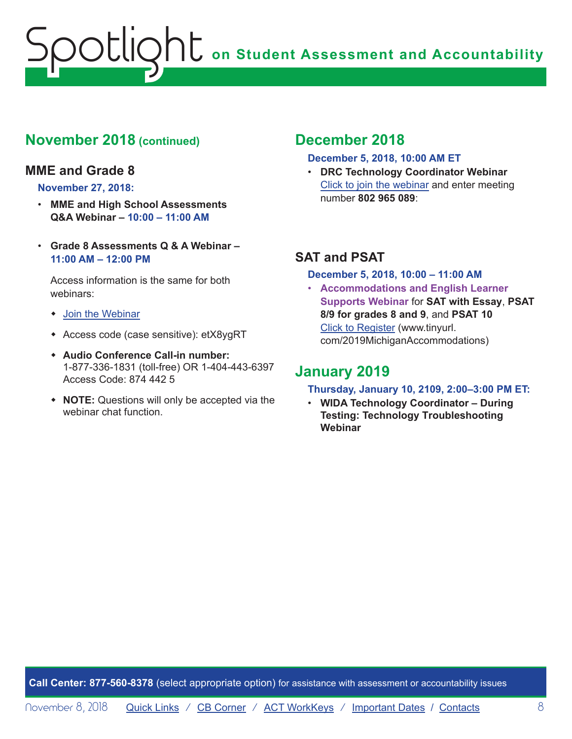# **November 2018 (continued)**

### **MME and Grade 8**

#### **November 27, 2018:**

- **MME and High School Assessments Q&A Webinar – 10:00 – 11:00 AM**
- **Grade 8 Assessments Q & A Webinar – 11:00 AM – 12:00 PM**

Access information is the same for both webinars:

- $\bullet$  [Join the Webinar](https://michiganmde.webex.com/mw3300/mywebex/default.do?service=1&siteurl=michiganmde&nomenu=true&main_url=%2Fmc3300%2Fe.do%3Fsiteurl%3Dmichiganmde%26AT%3DMI%26EventID%3D397749447%26UID%3D515357442%26Host%3DQUhTSwAAAATAL3hXaWJPOfQw3SR9WG2vLujpA5u-kWNgzrRkS02pZzQuRlgcULc7Crl6s3CX5Os7Os0EqvObbXl5Jd4OLcy30%26FrameSet%3D2%26MTID%3Dm972fcc896333de692704026c31c159f4)
- \* Access code (case sensitive): etX8ygRT
- w **Audio Conference Call-in number:** 1-877-336-1831 (toll-free) OR 1-404-443-6397 Access Code: 874 442 5
- **\*** NOTE: Questions will only be accepted via the webinar chat function.

## **December 2018**

#### **December 5, 2018, 10:00 AM ET**

• **DRC Technology Coordinator Webinar** Click to join the webinar and enter meeting number **802 965 089**:

## **SAT and PSAT**

#### **December 5, 2018, 10:00 – 11:00 AM**

• **Accommodations and English Learner Supports Webinar** for **SAT with Essay**, **PSAT 8/9 for grades 8 and 9**, and **PSAT 10** [Click to Register](http://www.tinyurl.com/2019MichiganAccommodations) (www.tinyurl. com/2019MichiganAccommodations)

## **January 2019**

#### **Thursday, January 10, 2109, 2:00–3:00 PM ET:**

• **WIDA Technology Coordinator – During Testing: Technology Troubleshooting Webinar**